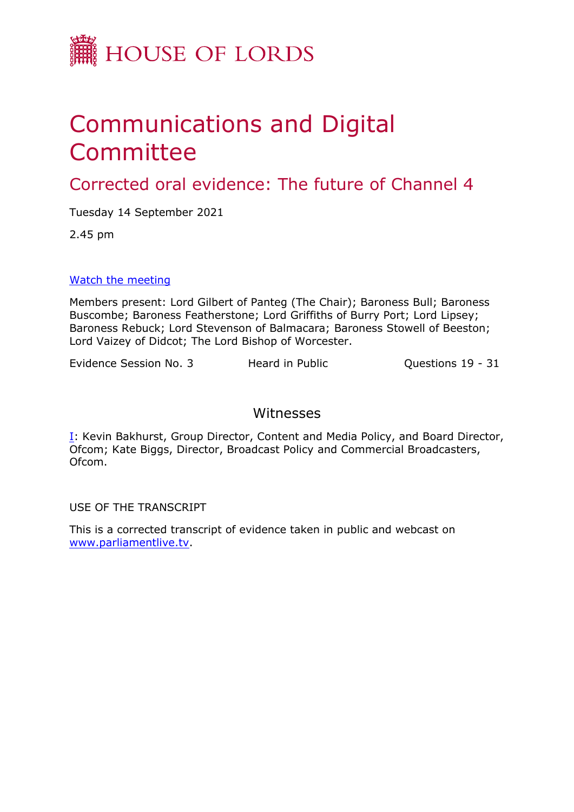

## Communications and Digital Committee

Corrected oral evidence: The future of Channel 4

Tuesday 14 September 2021

2.45 pm

## [Watch](https://parliamentlive.tv/event/index/4bd27617-a444-447e-a3ed-9fc1f6b96402) [the](https://parliamentlive.tv/event/index/4bd27617-a444-447e-a3ed-9fc1f6b96402) [meeting](https://parliamentlive.tv/event/index/4bd27617-a444-447e-a3ed-9fc1f6b96402)

Members present: Lord Gilbert of Panteg (The Chair); Baroness Bull; Baroness Buscombe; Baroness Featherstone; Lord Griffiths of Burry Port; Lord Lipsey; Baroness Rebuck; Lord Stevenson of Balmacara; Baroness Stowell of Beeston; Lord Vaizey of Didcot; The Lord Bishop of Worcester.

Evidence Session No. 3 Heard in Public Cuestions 19 - 31

## Witnesses

[I:](#page-1-0) Kevin Bakhurst, Group Director, Content and Media Policy, and Board Director, Ofcom; Kate Biggs, Director, Broadcast Policy and Commercial Broadcasters, Ofcom.

USE OF THE TRANSCRIPT

This is a corrected transcript of evidence taken in public and webcast on [www.parliamentlive.tv](http://www.parliamentlive.tv/).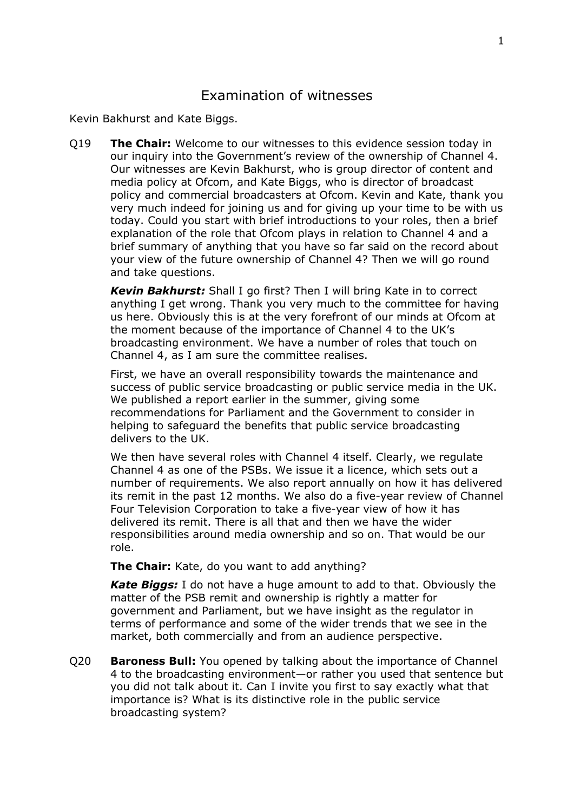## <span id="page-1-0"></span>Examination of witnesses

Kevin Bakhurst and Kate Biggs.

Q19 **The Chair:** Welcome to our witnesses to this evidence session today in our inquiry into the Government's review of the ownership of Channel 4. Our witnesses are Kevin Bakhurst, who is group director of content and media policy at Ofcom, and Kate Biggs, who is director of broadcast policy and commercial broadcasters at Ofcom. Kevin and Kate, thank you very much indeed for joining us and for giving up your time to be with us today. Could you start with brief introductions to your roles, then a brief explanation of the role that Ofcom plays in relation to Channel 4 and a brief summary of anything that you have so far said on the record about your view of the future ownership of Channel 4? Then we will go round and take questions.

*Kevin Bakhurst:* Shall I go first? Then I will bring Kate in to correct anything I get wrong. Thank you very much to the committee for having us here. Obviously this is at the very forefront of our minds at Ofcom at the moment because of the importance of Channel 4 to the UK's broadcasting environment. We have a number of roles that touch on Channel 4, as I am sure the committee realises.

First, we have an overall responsibility towards the maintenance and success of public service broadcasting or public service media in the UK. We published a report earlier in the summer, giving some recommendations for Parliament and the Government to consider in helping to safeguard the benefits that public service broadcasting delivers to the UK.

We then have several roles with Channel 4 itself. Clearly, we regulate Channel 4 as one of the PSBs. We issue it a licence, which sets out a number of requirements. We also report annually on how it has delivered its remit in the past 12 months. We also do a five-year review of Channel Four Television Corporation to take a five-year view of how it has delivered its remit. There is all that and then we have the wider responsibilities around media ownership and so on. That would be our role.

**The Chair:** Kate, do you want to add anything?

*Kate Biggs:* I do not have a huge amount to add to that. Obviously the matter of the PSB remit and ownership is rightly a matter for government and Parliament, but we have insight as the regulator in terms of performance and some of the wider trends that we see in the market, both commercially and from an audience perspective.

Q20 **Baroness Bull:** You opened by talking about the importance of Channel 4 to the broadcasting environment—or rather you used that sentence but you did not talk about it. Can I invite you first to say exactly what that importance is? What is its distinctive role in the public service broadcasting system?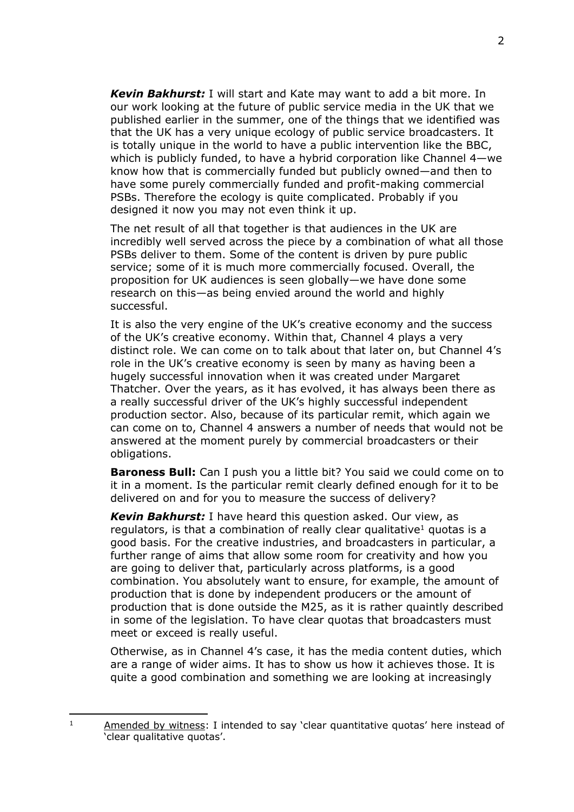*Kevin Bakhurst:* I will start and Kate may want to add a bit more. In our work looking at the future of public service media in the UK that we published earlier in the summer, one of the things that we identified was that the UK has a very unique ecology of public service broadcasters. It is totally unique in the world to have a public intervention like the BBC, which is publicly funded, to have a hybrid corporation like Channel 4—we know how that is commercially funded but publicly owned—and then to have some purely commercially funded and profit-making commercial PSBs. Therefore the ecology is quite complicated. Probably if you designed it now you may not even think it up.

The net result of all that together is that audiences in the UK are incredibly well served across the piece by a combination of what all those PSBs deliver to them. Some of the content is driven by pure public service; some of it is much more commercially focused. Overall, the proposition for UK audiences is seen globally—we have done some research on this—as being envied around the world and highly successful.

It is also the very engine of the UK's creative economy and the success of the UK's creative economy. Within that, Channel 4 plays a very distinct role. We can come on to talk about that later on, but Channel 4's role in the UK's creative economy is seen by many as having been a hugely successful innovation when it was created under Margaret Thatcher. Over the years, as it has evolved, it has always been there as a really successful driver of the UK's highly successful independent production sector. Also, because of its particular remit, which again we can come on to, Channel 4 answers a number of needs that would not be answered at the moment purely by commercial broadcasters or their obligations.

**Baroness Bull:** Can I push you a little bit? You said we could come on to it in a moment. Is the particular remit clearly defined enough for it to be delivered on and for you to measure the success of delivery?

*Kevin Bakhurst:* I have heard this question asked. Our view, as regulators, is that a combination of really clear qualitative<sup>1</sup> quotas is a good basis. For the creative industries, and broadcasters in particular, a further range of aims that allow some room for creativity and how you are going to deliver that, particularly across platforms, is a good combination. You absolutely want to ensure, for example, the amount of production that is done by independent producers or the amount of production that is done outside the M25, as it is rather quaintly described in some of the legislation. To have clear quotas that broadcasters must meet or exceed is really useful.

Otherwise, as in Channel 4's case, it has the media content duties, which are a range of wider aims. It has to show us how it achieves those. It is quite a good combination and something we are looking at increasingly

<sup>&</sup>lt;sup>1</sup> Amended by witness: I intended to say 'clear quantitative quotas' here instead of 'clear qualitative quotas'.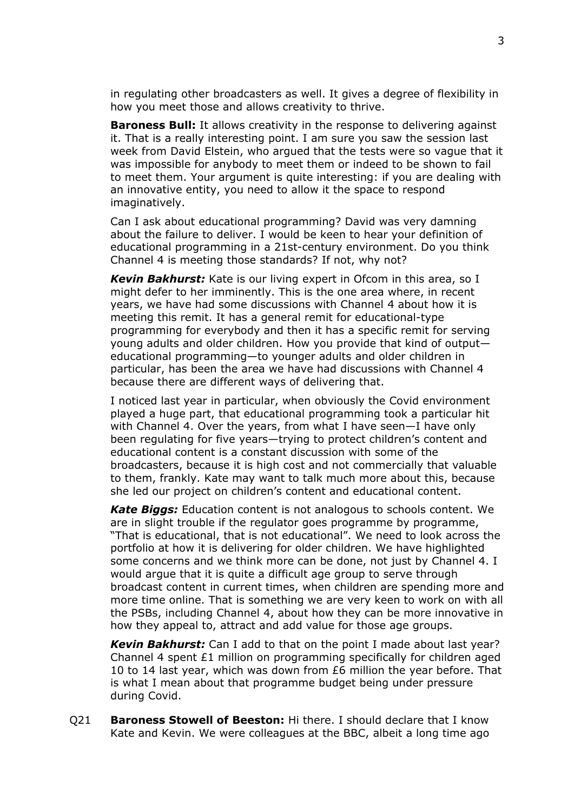in regulating other broadcasters as well. It gives a degree of flexibility in how you meet those and allows creativity to thrive.

**Baroness Bull:** It allows creativity in the response to delivering against it. That is a really interesting point. I am sure you saw the session last week from David Elstein, who argued that the tests were so vague that it was impossible for anybody to meet them or indeed to be shown to fail to meet them. Your argument is quite interesting: if you are dealing with an innovative entity, you need to allow it the space to respond imaginatively.

Can I ask about educational programming? David was very damning about the failure to deliver. I would be keen to hear your definition of educational programming in a 21st-century environment. Do you think Channel 4 is meeting those standards? If not, why not?

*Kevin Bakhurst:* Kate is our living expert in Ofcom in this area, so I might defer to her imminently. This is the one area where, in recent years, we have had some discussions with Channel 4 about how it is meeting this remit. It has a general remit for educational-type programming for everybody and then it has a specific remit for serving young adults and older children. How you provide that kind of output educational programming—to younger adults and older children in particular, has been the area we have had discussions with Channel 4 because there are different ways of delivering that.

I noticed last year in particular, when obviously the Covid environment played a huge part, that educational programming took a particular hit with Channel 4. Over the years, from what I have seen—I have only been regulating for five years—trying to protect children's content and educational content is a constant discussion with some of the broadcasters, because it is high cost and not commercially that valuable to them, frankly. Kate may want to talk much more about this, because she led our project on children's content and educational content.

*Kate Biggs:* Education content is not analogous to schools content. We are in slight trouble if the regulator goes programme by programme, "That is educational, that is not educational". We need to look across the portfolio at how it is delivering for older children. We have highlighted some concerns and we think more can be done, not just by Channel 4. I would argue that it is quite a difficult age group to serve through broadcast content in current times, when children are spending more and more time online. That is something we are very keen to work on with all the PSBs, including Channel 4, about how they can be more innovative in how they appeal to, attract and add value for those age groups.

*Kevin Bakhurst:* Can I add to that on the point I made about last year? Channel 4 spent £1 million on programming specifically for children aged 10 to 14 last year, which was down from £6 million the year before. That is what I mean about that programme budget being under pressure during Covid.

Q21 **Baroness Stowell of Beeston:** Hi there. I should declare that I know Kate and Kevin. We were colleagues at the BBC, albeit a long time ago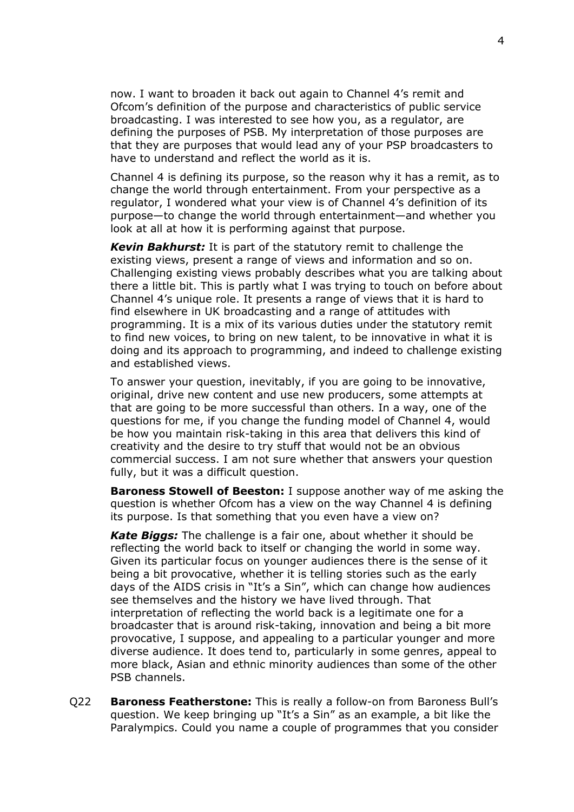now. I want to broaden it back out again to Channel 4's remit and Ofcom's definition of the purpose and characteristics of public service broadcasting. I was interested to see how you, as a regulator, are defining the purposes of PSB. My interpretation of those purposes are that they are purposes that would lead any of your PSP broadcasters to have to understand and reflect the world as it is.

Channel 4 is defining its purpose, so the reason why it has a remit, as to change the world through entertainment. From your perspective as a regulator, I wondered what your view is of Channel 4's definition of its purpose—to change the world through entertainment—and whether you look at all at how it is performing against that purpose.

*Kevin Bakhurst:* It is part of the statutory remit to challenge the existing views, present a range of views and information and so on. Challenging existing views probably describes what you are talking about there a little bit. This is partly what I was trying to touch on before about Channel 4's unique role. It presents a range of views that it is hard to find elsewhere in UK broadcasting and a range of attitudes with programming. It is a mix of its various duties under the statutory remit to find new voices, to bring on new talent, to be innovative in what it is doing and its approach to programming, and indeed to challenge existing and established views.

To answer your question, inevitably, if you are going to be innovative, original, drive new content and use new producers, some attempts at that are going to be more successful than others. In a way, one of the questions for me, if you change the funding model of Channel 4, would be how you maintain risk-taking in this area that delivers this kind of creativity and the desire to try stuff that would not be an obvious commercial success. I am not sure whether that answers your question fully, but it was a difficult question.

**Baroness Stowell of Beeston:** I suppose another way of me asking the question is whether Ofcom has a view on the way Channel 4 is defining its purpose. Is that something that you even have a view on?

*Kate Biggs:* The challenge is a fair one, about whether it should be reflecting the world back to itself or changing the world in some way. Given its particular focus on younger audiences there is the sense of it being a bit provocative, whether it is telling stories such as the early days of the AIDS crisis in "It's a Sin", which can change how audiences see themselves and the history we have lived through. That interpretation of reflecting the world back is a legitimate one for a broadcaster that is around risk-taking, innovation and being a bit more provocative, I suppose, and appealing to a particular younger and more diverse audience. It does tend to, particularly in some genres, appeal to more black, Asian and ethnic minority audiences than some of the other PSB channels.

Q22 **Baroness Featherstone:** This is really a follow-on from Baroness Bull's question. We keep bringing up "It's a Sin" as an example, a bit like the Paralympics. Could you name a couple of programmes that you consider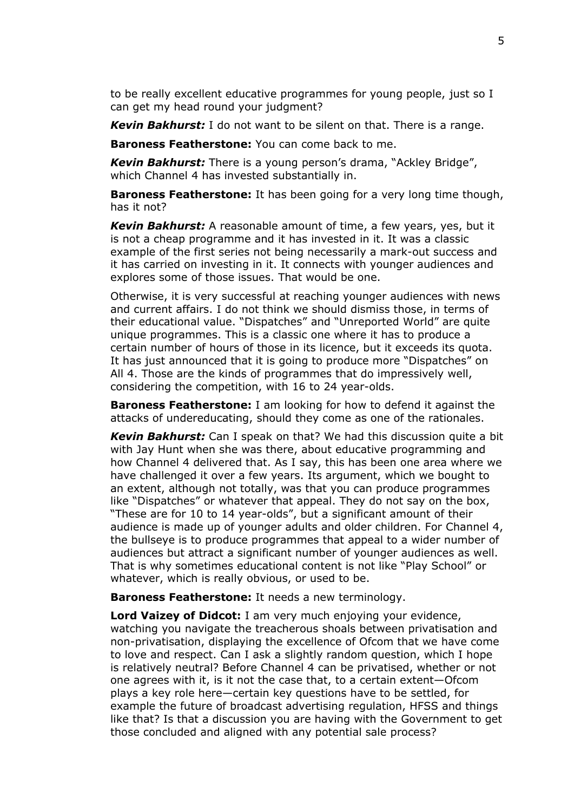to be really excellent educative programmes for young people, just so I can get my head round your judgment?

*Kevin Bakhurst:* I do not want to be silent on that. There is a range.

**Baroness Featherstone:** You can come back to me.

*Kevin Bakhurst:* There is a young person's drama, "Ackley Bridge", which Channel 4 has invested substantially in.

**Baroness Featherstone:** It has been going for a very long time though, has it not?

*Kevin Bakhurst:* A reasonable amount of time, a few years, yes, but it is not a cheap programme and it has invested in it. It was a classic example of the first series not being necessarily a mark-out success and it has carried on investing in it. It connects with younger audiences and explores some of those issues. That would be one.

Otherwise, it is very successful at reaching younger audiences with news and current affairs. I do not think we should dismiss those, in terms of their educational value. "Dispatches" and "Unreported World" are quite unique programmes. This is a classic one where it has to produce a certain number of hours of those in its licence, but it exceeds its quota. It has just announced that it is going to produce more "Dispatches" on All 4. Those are the kinds of programmes that do impressively well, considering the competition, with 16 to 24 year-olds.

**Baroness Featherstone:** I am looking for how to defend it against the attacks of undereducating, should they come as one of the rationales.

*Kevin Bakhurst:* Can I speak on that? We had this discussion quite a bit with Jay Hunt when she was there, about educative programming and how Channel 4 delivered that. As I say, this has been one area where we have challenged it over a few years. Its argument, which we bought to an extent, although not totally, was that you can produce programmes like "Dispatches" or whatever that appeal. They do not say on the box, "These are for 10 to 14 year-olds", but a significant amount of their audience is made up of younger adults and older children. For Channel 4, the bullseye is to produce programmes that appeal to a wider number of audiences but attract a significant number of younger audiences as well. That is why sometimes educational content is not like "Play School" or whatever, which is really obvious, or used to be.

**Baroness Featherstone:** It needs a new terminology.

**Lord Vaizey of Didcot:** I am very much enjoying your evidence, watching you navigate the treacherous shoals between privatisation and non-privatisation, displaying the excellence of Ofcom that we have come to love and respect. Can I ask a slightly random question, which I hope is relatively neutral? Before Channel 4 can be privatised, whether or not one agrees with it, is it not the case that, to a certain extent—Ofcom plays a key role here—certain key questions have to be settled, for example the future of broadcast advertising regulation, HFSS and things like that? Is that a discussion you are having with the Government to get those concluded and aligned with any potential sale process?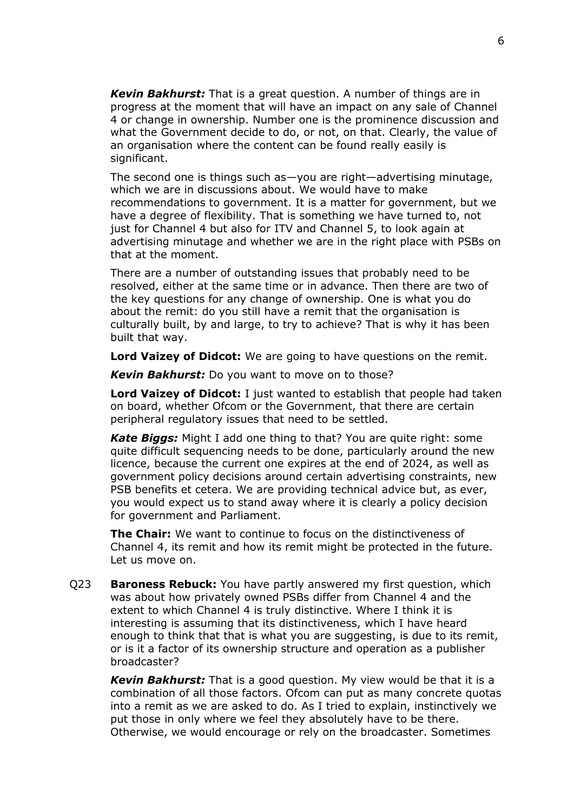*Kevin Bakhurst:* That is a great question. A number of things are in progress at the moment that will have an impact on any sale of Channel 4 or change in ownership. Number one is the prominence discussion and what the Government decide to do, or not, on that. Clearly, the value of an organisation where the content can be found really easily is significant.

The second one is things such as—you are right—advertising minutage, which we are in discussions about. We would have to make recommendations to government. It is a matter for government, but we have a degree of flexibility. That is something we have turned to, not just for Channel 4 but also for ITV and Channel 5, to look again at advertising minutage and whether we are in the right place with PSBs on that at the moment.

There are a number of outstanding issues that probably need to be resolved, either at the same time or in advance. Then there are two of the key questions for any change of ownership. One is what you do about the remit: do you still have a remit that the organisation is culturally built, by and large, to try to achieve? That is why it has been built that way.

**Lord Vaizey of Didcot:** We are going to have questions on the remit.

*Kevin Bakhurst:* Do you want to move on to those?

**Lord Vaizey of Didcot:** I just wanted to establish that people had taken on board, whether Ofcom or the Government, that there are certain peripheral regulatory issues that need to be settled.

*Kate Biggs:* Might I add one thing to that? You are quite right: some quite difficult sequencing needs to be done, particularly around the new licence, because the current one expires at the end of 2024, as well as government policy decisions around certain advertising constraints, new PSB benefits et cetera. We are providing technical advice but, as ever, you would expect us to stand away where it is clearly a policy decision for government and Parliament.

**The Chair:** We want to continue to focus on the distinctiveness of Channel 4, its remit and how its remit might be protected in the future. Let us move on.

Q23 **Baroness Rebuck:** You have partly answered my first question, which was about how privately owned PSBs differ from Channel 4 and the extent to which Channel 4 is truly distinctive. Where I think it is interesting is assuming that its distinctiveness, which I have heard enough to think that that is what you are suggesting, is due to its remit, or is it a factor of its ownership structure and operation as a publisher broadcaster?

*Kevin Bakhurst:* That is a good question. My view would be that it is a combination of all those factors. Ofcom can put as many concrete quotas into a remit as we are asked to do. As I tried to explain, instinctively we put those in only where we feel they absolutely have to be there. Otherwise, we would encourage or rely on the broadcaster. Sometimes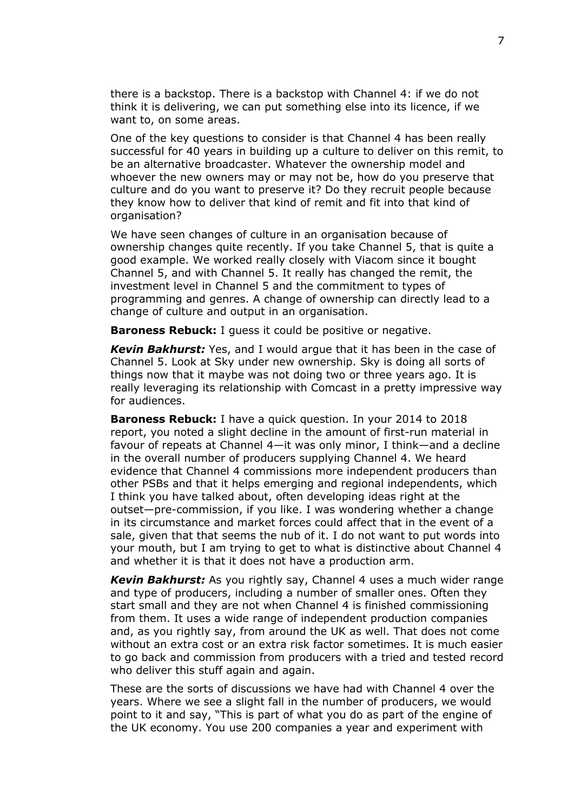there is a backstop. There is a backstop with Channel 4: if we do not think it is delivering, we can put something else into its licence, if we want to, on some areas.

One of the key questions to consider is that Channel 4 has been really successful for 40 years in building up a culture to deliver on this remit, to be an alternative broadcaster. Whatever the ownership model and whoever the new owners may or may not be, how do you preserve that culture and do you want to preserve it? Do they recruit people because they know how to deliver that kind of remit and fit into that kind of organisation?

We have seen changes of culture in an organisation because of ownership changes quite recently. If you take Channel 5, that is quite a good example. We worked really closely with Viacom since it bought Channel 5, and with Channel 5. It really has changed the remit, the investment level in Channel 5 and the commitment to types of programming and genres. A change of ownership can directly lead to a change of culture and output in an organisation.

**Baroness Rebuck:** I guess it could be positive or negative.

*Kevin Bakhurst:* Yes, and I would argue that it has been in the case of Channel 5. Look at Sky under new ownership. Sky is doing all sorts of things now that it maybe was not doing two or three years ago. It is really leveraging its relationship with Comcast in a pretty impressive way for audiences.

**Baroness Rebuck:** I have a quick question. In your 2014 to 2018 report, you noted a slight decline in the amount of first-run material in favour of repeats at Channel 4—it was only minor, I think—and a decline in the overall number of producers supplying Channel 4. We heard evidence that Channel 4 commissions more independent producers than other PSBs and that it helps emerging and regional independents, which I think you have talked about, often developing ideas right at the outset—pre-commission, if you like. I was wondering whether a change in its circumstance and market forces could affect that in the event of a sale, given that that seems the nub of it. I do not want to put words into your mouth, but I am trying to get to what is distinctive about Channel 4 and whether it is that it does not have a production arm.

*Kevin Bakhurst:* As you rightly say, Channel 4 uses a much wider range and type of producers, including a number of smaller ones. Often they start small and they are not when Channel 4 is finished commissioning from them. It uses a wide range of independent production companies and, as you rightly say, from around the UK as well. That does not come without an extra cost or an extra risk factor sometimes. It is much easier to go back and commission from producers with a tried and tested record who deliver this stuff again and again.

These are the sorts of discussions we have had with Channel 4 over the years. Where we see a slight fall in the number of producers, we would point to it and say, "This is part of what you do as part of the engine of the UK economy. You use 200 companies a year and experiment with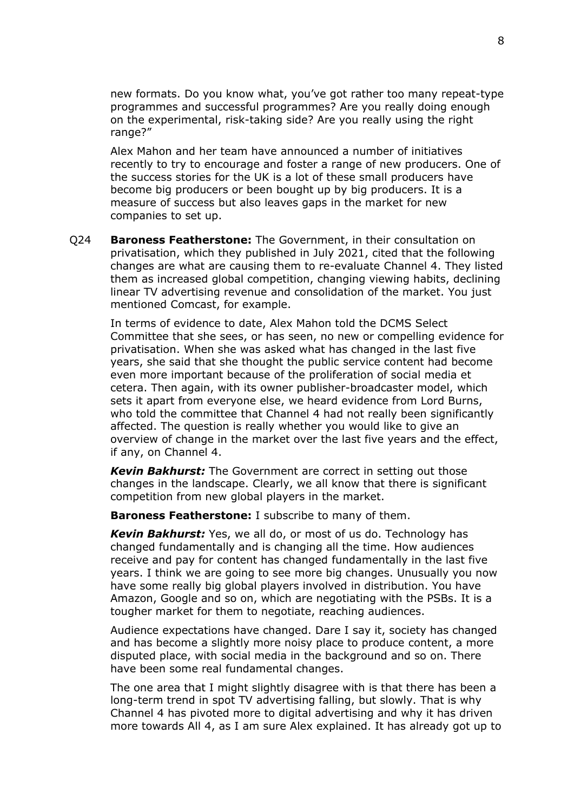new formats. Do you know what, you've got rather too many repeat-type programmes and successful programmes? Are you really doing enough on the experimental, risk-taking side? Are you really using the right range?"

Alex Mahon and her team have announced a number of initiatives recently to try to encourage and foster a range of new producers. One of the success stories for the UK is a lot of these small producers have become big producers or been bought up by big producers. It is a measure of success but also leaves gaps in the market for new companies to set up.

Q24 **Baroness Featherstone:** The Government, in their consultation on privatisation, which they published in July 2021, cited that the following changes are what are causing them to re-evaluate Channel 4. They listed them as increased global competition, changing viewing habits, declining linear TV advertising revenue and consolidation of the market. You just mentioned Comcast, for example.

In terms of evidence to date, Alex Mahon told the DCMS Select Committee that she sees, or has seen, no new or compelling evidence for privatisation. When she was asked what has changed in the last five years, she said that she thought the public service content had become even more important because of the proliferation of social media et cetera. Then again, with its owner publisher-broadcaster model, which sets it apart from everyone else, we heard evidence from Lord Burns, who told the committee that Channel 4 had not really been significantly affected. The question is really whether you would like to give an overview of change in the market over the last five years and the effect, if any, on Channel 4.

*Kevin Bakhurst:* The Government are correct in setting out those changes in the landscape. Clearly, we all know that there is significant competition from new global players in the market.

**Baroness Featherstone:** I subscribe to many of them.

*Kevin Bakhurst:* Yes, we all do, or most of us do. Technology has changed fundamentally and is changing all the time. How audiences receive and pay for content has changed fundamentally in the last five years. I think we are going to see more big changes. Unusually you now have some really big global players involved in distribution. You have Amazon, Google and so on, which are negotiating with the PSBs. It is a tougher market for them to negotiate, reaching audiences.

Audience expectations have changed. Dare I say it, society has changed and has become a slightly more noisy place to produce content, a more disputed place, with social media in the background and so on. There have been some real fundamental changes.

The one area that I might slightly disagree with is that there has been a long-term trend in spot TV advertising falling, but slowly. That is why Channel 4 has pivoted more to digital advertising and why it has driven more towards All 4, as I am sure Alex explained. It has already got up to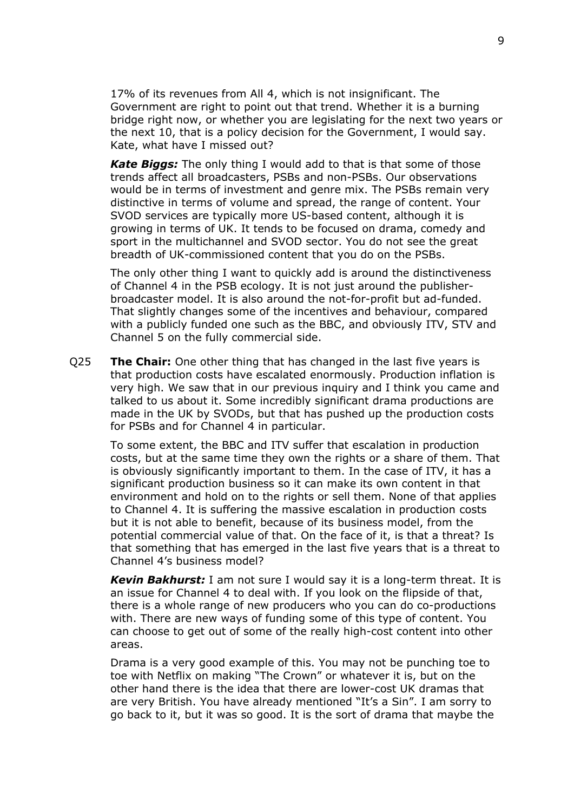17% of its revenues from All 4, which is not insignificant. The Government are right to point out that trend. Whether it is a burning bridge right now, or whether you are legislating for the next two years or the next 10, that is a policy decision for the Government, I would say. Kate, what have I missed out?

*Kate Biggs:* The only thing I would add to that is that some of those trends affect all broadcasters, PSBs and non-PSBs. Our observations would be in terms of investment and genre mix. The PSBs remain very distinctive in terms of volume and spread, the range of content. Your SVOD services are typically more US-based content, although it is growing in terms of UK. It tends to be focused on drama, comedy and sport in the multichannel and SVOD sector. You do not see the great breadth of UK-commissioned content that you do on the PSBs.

The only other thing I want to quickly add is around the distinctiveness of Channel 4 in the PSB ecology. It is not just around the publisherbroadcaster model. It is also around the not-for-profit but ad-funded. That slightly changes some of the incentives and behaviour, compared with a publicly funded one such as the BBC, and obviously ITV, STV and Channel 5 on the fully commercial side.

Q25 **The Chair:** One other thing that has changed in the last five years is that production costs have escalated enormously. Production inflation is very high. We saw that in our previous inquiry and I think you came and talked to us about it. Some incredibly significant drama productions are made in the UK by SVODs, but that has pushed up the production costs for PSBs and for Channel 4 in particular.

To some extent, the BBC and ITV suffer that escalation in production costs, but at the same time they own the rights or a share of them. That is obviously significantly important to them. In the case of ITV, it has a significant production business so it can make its own content in that environment and hold on to the rights or sell them. None of that applies to Channel 4. It is suffering the massive escalation in production costs but it is not able to benefit, because of its business model, from the potential commercial value of that. On the face of it, is that a threat? Is that something that has emerged in the last five years that is a threat to Channel 4's business model?

*Kevin Bakhurst:* I am not sure I would say it is a long-term threat. It is an issue for Channel 4 to deal with. If you look on the flipside of that, there is a whole range of new producers who you can do co-productions with. There are new ways of funding some of this type of content. You can choose to get out of some of the really high-cost content into other areas.

Drama is a very good example of this. You may not be punching toe to toe with Netflix on making "The Crown" or whatever it is, but on the other hand there is the idea that there are lower-cost UK dramas that are very British. You have already mentioned "It's a Sin". I am sorry to go back to it, but it was so good. It is the sort of drama that maybe the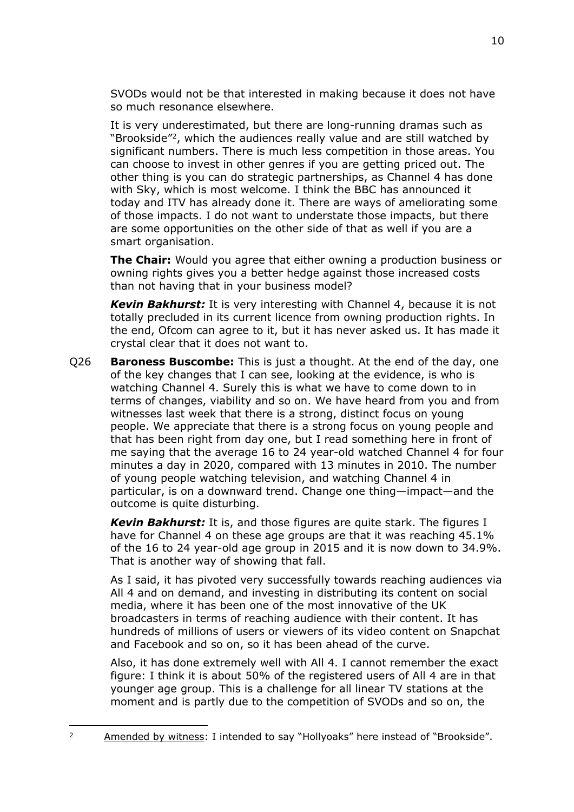SVODs would not be that interested in making because it does not have so much resonance elsewhere.

It is very underestimated, but there are long-running dramas such as "Brookside"<sup>2</sup>, which the audiences really value and are still watched by significant numbers. There is much less competition in those areas. You can choose to invest in other genres if you are getting priced out. The other thing is you can do strategic partnerships, as Channel 4 has done with Sky, which is most welcome. I think the BBC has announced it today and ITV has already done it. There are ways of ameliorating some of those impacts. I do not want to understate those impacts, but there are some opportunities on the other side of that as well if you are a smart organisation.

**The Chair:** Would you agree that either owning a production business or owning rights gives you a better hedge against those increased costs than not having that in your business model?

*Kevin Bakhurst:* It is very interesting with Channel 4, because it is not totally precluded in its current licence from owning production rights. In the end, Ofcom can agree to it, but it has never asked us. It has made it crystal clear that it does not want to.

Q26 **Baroness Buscombe:** This is just a thought. At the end of the day, one of the key changes that I can see, looking at the evidence, is who is watching Channel 4. Surely this is what we have to come down to in terms of changes, viability and so on. We have heard from you and from witnesses last week that there is a strong, distinct focus on young people. We appreciate that there is a strong focus on young people and that has been right from day one, but I read something here in front of me saying that the average 16 to 24 year-old watched Channel 4 for four minutes a day in 2020, compared with 13 minutes in 2010. The number of young people watching television, and watching Channel 4 in particular, is on a downward trend. Change one thing—impact—and the outcome is quite disturbing.

*Kevin Bakhurst:* It is, and those figures are quite stark. The figures I have for Channel 4 on these age groups are that it was reaching 45.1% of the 16 to 24 year-old age group in 2015 and it is now down to 34.9%. That is another way of showing that fall.

As I said, it has pivoted very successfully towards reaching audiences via All 4 and on demand, and investing in distributing its content on social media, where it has been one of the most innovative of the UK broadcasters in terms of reaching audience with their content. It has hundreds of millions of users or viewers of its video content on Snapchat and Facebook and so on, so it has been ahead of the curve.

Also, it has done extremely well with All 4. I cannot remember the exact figure: I think it is about 50% of the registered users of All 4 are in that younger age group. This is a challenge for all linear TV stations at the moment and is partly due to the competition of SVODs and so on, the

<sup>&</sup>lt;sup>2</sup> Amended by witness: I intended to say "Hollyoaks" here instead of "Brookside".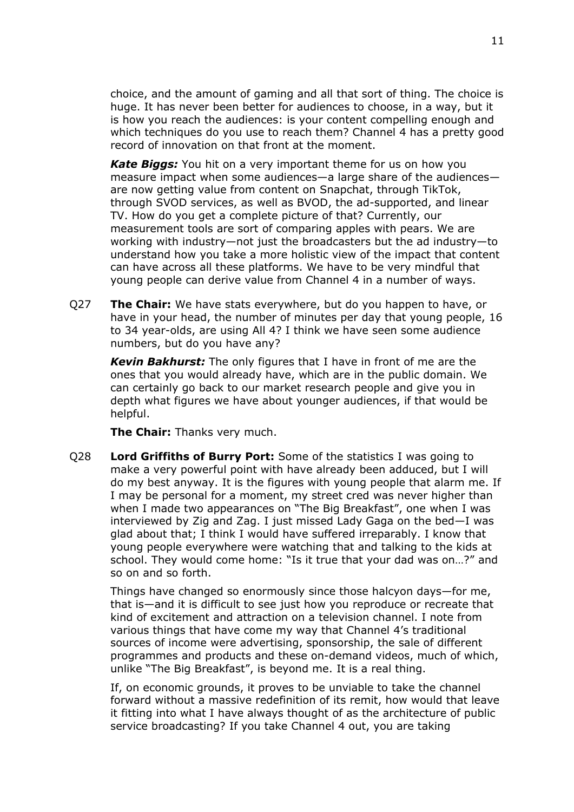choice, and the amount of gaming and all that sort of thing. The choice is huge. It has never been better for audiences to choose, in a way, but it is how you reach the audiences: is your content compelling enough and which techniques do you use to reach them? Channel 4 has a pretty good record of innovation on that front at the moment.

*Kate Biggs:* You hit on a very important theme for us on how you measure impact when some audiences—a large share of the audiences are now getting value from content on Snapchat, through TikTok, through SVOD services, as well as BVOD, the ad-supported, and linear TV. How do you get a complete picture of that? Currently, our measurement tools are sort of comparing apples with pears. We are working with industry—not just the broadcasters but the ad industry—to understand how you take a more holistic view of the impact that content can have across all these platforms. We have to be very mindful that young people can derive value from Channel 4 in a number of ways.

Q27 **The Chair:** We have stats everywhere, but do you happen to have, or have in your head, the number of minutes per day that young people, 16 to 34 year-olds, are using All 4? I think we have seen some audience numbers, but do you have any?

*Kevin Bakhurst:* The only figures that I have in front of me are the ones that you would already have, which are in the public domain. We can certainly go back to our market research people and give you in depth what figures we have about younger audiences, if that would be helpful.

**The Chair:** Thanks very much.

Q28 **Lord Griffiths of Burry Port:** Some of the statistics I was going to make a very powerful point with have already been adduced, but I will do my best anyway. It is the figures with young people that alarm me. If I may be personal for a moment, my street cred was never higher than when I made two appearances on "The Big Breakfast", one when I was interviewed by Zig and Zag. I just missed Lady Gaga on the bed—I was glad about that; I think I would have suffered irreparably. I know that young people everywhere were watching that and talking to the kids at school. They would come home: "Is it true that your dad was on…?" and so on and so forth.

Things have changed so enormously since those halcyon days—for me, that is—and it is difficult to see just how you reproduce or recreate that kind of excitement and attraction on a television channel. I note from various things that have come my way that Channel 4's traditional sources of income were advertising, sponsorship, the sale of different programmes and products and these on-demand videos, much of which, unlike "The Big Breakfast", is beyond me. It is a real thing.

If, on economic grounds, it proves to be unviable to take the channel forward without a massive redefinition of its remit, how would that leave it fitting into what I have always thought of as the architecture of public service broadcasting? If you take Channel 4 out, you are taking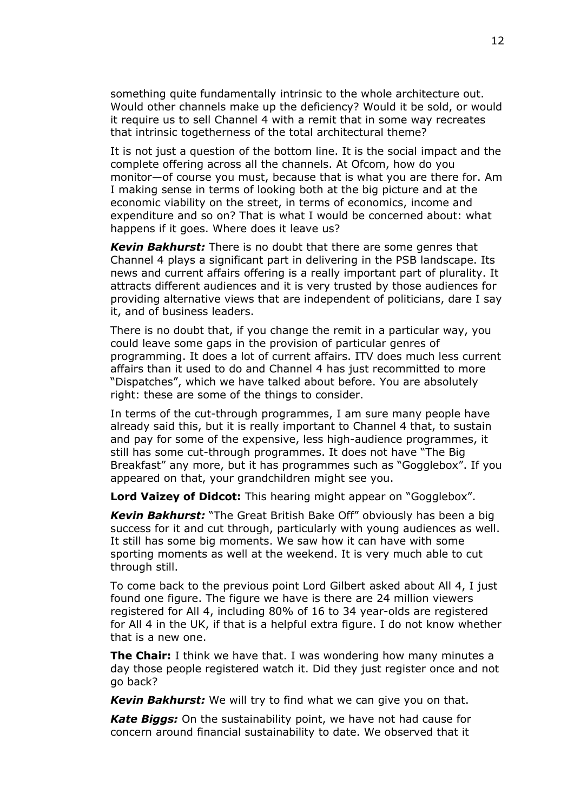something quite fundamentally intrinsic to the whole architecture out. Would other channels make up the deficiency? Would it be sold, or would it require us to sell Channel 4 with a remit that in some way recreates that intrinsic togetherness of the total architectural theme?

It is not just a question of the bottom line. It is the social impact and the complete offering across all the channels. At Ofcom, how do you monitor—of course you must, because that is what you are there for. Am I making sense in terms of looking both at the big picture and at the economic viability on the street, in terms of economics, income and expenditure and so on? That is what I would be concerned about: what happens if it goes. Where does it leave us?

*Kevin Bakhurst:* There is no doubt that there are some genres that Channel 4 plays a significant part in delivering in the PSB landscape. Its news and current affairs offering is a really important part of plurality. It attracts different audiences and it is very trusted by those audiences for providing alternative views that are independent of politicians, dare I say it, and of business leaders.

There is no doubt that, if you change the remit in a particular way, you could leave some gaps in the provision of particular genres of programming. It does a lot of current affairs. ITV does much less current affairs than it used to do and Channel 4 has just recommitted to more "Dispatches", which we have talked about before. You are absolutely right: these are some of the things to consider.

In terms of the cut-through programmes, I am sure many people have already said this, but it is really important to Channel 4 that, to sustain and pay for some of the expensive, less high-audience programmes, it still has some cut-through programmes. It does not have "The Big Breakfast" any more, but it has programmes such as "Gogglebox". If you appeared on that, your grandchildren might see you.

**Lord Vaizey of Didcot:** This hearing might appear on "Gogglebox".

*Kevin Bakhurst:* "The Great British Bake Off" obviously has been a big success for it and cut through, particularly with young audiences as well. It still has some big moments. We saw how it can have with some sporting moments as well at the weekend. It is very much able to cut through still.

To come back to the previous point Lord Gilbert asked about All 4, I just found one figure. The figure we have is there are 24 million viewers registered for All 4, including 80% of 16 to 34 year-olds are registered for All 4 in the UK, if that is a helpful extra figure. I do not know whether that is a new one.

**The Chair:** I think we have that. I was wondering how many minutes a day those people registered watch it. Did they just register once and not go back?

*Kevin Bakhurst:* We will try to find what we can give you on that.

*Kate Biggs:* On the sustainability point, we have not had cause for concern around financial sustainability to date. We observed that it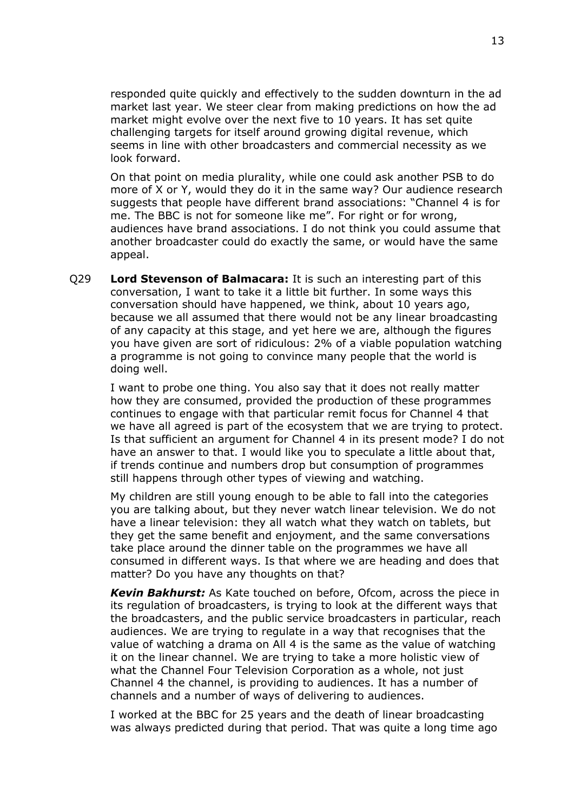responded quite quickly and effectively to the sudden downturn in the ad market last year. We steer clear from making predictions on how the ad market might evolve over the next five to 10 years. It has set quite challenging targets for itself around growing digital revenue, which seems in line with other broadcasters and commercial necessity as we look forward.

On that point on media plurality, while one could ask another PSB to do more of X or Y, would they do it in the same way? Our audience research suggests that people have different brand associations: "Channel 4 is for me. The BBC is not for someone like me". For right or for wrong, audiences have brand associations. I do not think you could assume that another broadcaster could do exactly the same, or would have the same appeal.

Q29 **Lord Stevenson of Balmacara:** It is such an interesting part of this conversation, I want to take it a little bit further. In some ways this conversation should have happened, we think, about 10 years ago, because we all assumed that there would not be any linear broadcasting of any capacity at this stage, and yet here we are, although the figures you have given are sort of ridiculous: 2% of a viable population watching a programme is not going to convince many people that the world is doing well.

I want to probe one thing. You also say that it does not really matter how they are consumed, provided the production of these programmes continues to engage with that particular remit focus for Channel 4 that we have all agreed is part of the ecosystem that we are trying to protect. Is that sufficient an argument for Channel 4 in its present mode? I do not have an answer to that. I would like you to speculate a little about that, if trends continue and numbers drop but consumption of programmes still happens through other types of viewing and watching.

My children are still young enough to be able to fall into the categories you are talking about, but they never watch linear television. We do not have a linear television: they all watch what they watch on tablets, but they get the same benefit and enjoyment, and the same conversations take place around the dinner table on the programmes we have all consumed in different ways. Is that where we are heading and does that matter? Do you have any thoughts on that?

*Kevin Bakhurst:* As Kate touched on before, Ofcom, across the piece in its regulation of broadcasters, is trying to look at the different ways that the broadcasters, and the public service broadcasters in particular, reach audiences. We are trying to regulate in a way that recognises that the value of watching a drama on All 4 is the same as the value of watching it on the linear channel. We are trying to take a more holistic view of what the Channel Four Television Corporation as a whole, not just Channel 4 the channel, is providing to audiences. It has a number of channels and a number of ways of delivering to audiences.

I worked at the BBC for 25 years and the death of linear broadcasting was always predicted during that period. That was quite a long time ago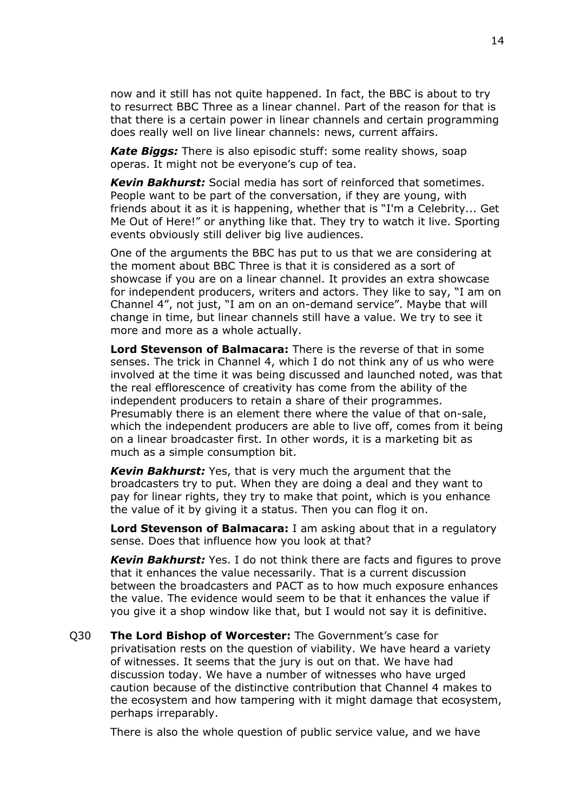now and it still has not quite happened. In fact, the BBC is about to try to resurrect BBC Three as a linear channel. Part of the reason for that is that there is a certain power in linear channels and certain programming does really well on live linear channels: news, current affairs.

*Kate Biggs:* There is also episodic stuff: some reality shows, soap operas. It might not be everyone's cup of tea.

*Kevin Bakhurst:* Social media has sort of reinforced that sometimes. People want to be part of the conversation, if they are young, with friends about it as it is happening, whether that is "I'm a Celebrity... Get Me Out of Here!" or anything like that. They try to watch it live. Sporting events obviously still deliver big live audiences.

One of the arguments the BBC has put to us that we are considering at the moment about BBC Three is that it is considered as a sort of showcase if you are on a linear channel. It provides an extra showcase for independent producers, writers and actors. They like to say, "I am on Channel 4", not just, "I am on an on-demand service". Maybe that will change in time, but linear channels still have a value. We try to see it more and more as a whole actually.

**Lord Stevenson of Balmacara:** There is the reverse of that in some senses. The trick in Channel 4, which I do not think any of us who were involved at the time it was being discussed and launched noted, was that the real efflorescence of creativity has come from the ability of the independent producers to retain a share of their programmes. Presumably there is an element there where the value of that on-sale, which the independent producers are able to live off, comes from it being on a linear broadcaster first. In other words, it is a marketing bit as much as a simple consumption bit.

*Kevin Bakhurst:* Yes, that is very much the argument that the broadcasters try to put. When they are doing a deal and they want to pay for linear rights, they try to make that point, which is you enhance the value of it by giving it a status. Then you can flog it on.

**Lord Stevenson of Balmacara:** I am asking about that in a regulatory sense. Does that influence how you look at that?

*Kevin Bakhurst:* Yes. I do not think there are facts and figures to prove that it enhances the value necessarily. That is a current discussion between the broadcasters and PACT as to how much exposure enhances the value. The evidence would seem to be that it enhances the value if you give it a shop window like that, but I would not say it is definitive.

Q30 **The Lord Bishop of Worcester:** The Government's case for privatisation rests on the question of viability. We have heard a variety of witnesses. It seems that the jury is out on that. We have had discussion today. We have a number of witnesses who have urged caution because of the distinctive contribution that Channel 4 makes to the ecosystem and how tampering with it might damage that ecosystem, perhaps irreparably.

There is also the whole question of public service value, and we have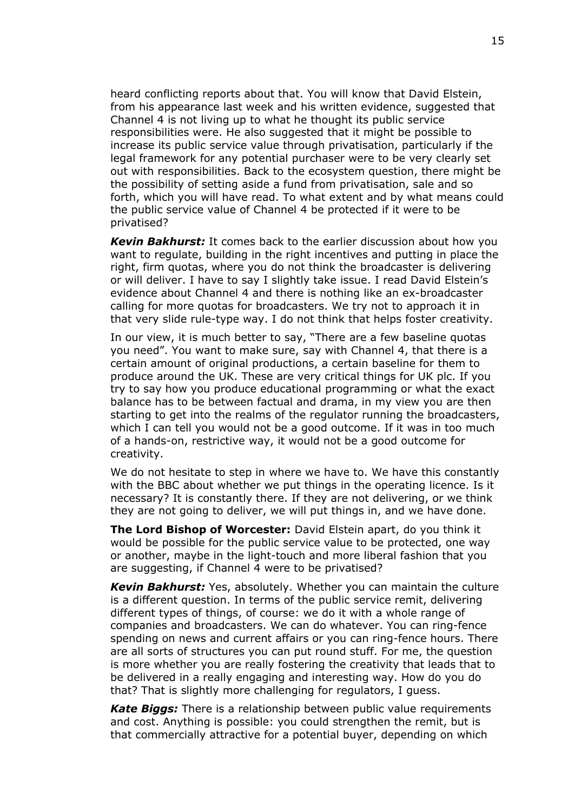heard conflicting reports about that. You will know that David Elstein, from his appearance last week and his written evidence, suggested that Channel 4 is not living up to what he thought its public service responsibilities were. He also suggested that it might be possible to increase its public service value through privatisation, particularly if the legal framework for any potential purchaser were to be very clearly set out with responsibilities. Back to the ecosystem question, there might be the possibility of setting aside a fund from privatisation, sale and so forth, which you will have read. To what extent and by what means could the public service value of Channel 4 be protected if it were to be privatised?

*Kevin Bakhurst:* It comes back to the earlier discussion about how you want to regulate, building in the right incentives and putting in place the right, firm quotas, where you do not think the broadcaster is delivering or will deliver. I have to say I slightly take issue. I read David Elstein's evidence about Channel 4 and there is nothing like an ex-broadcaster calling for more quotas for broadcasters. We try not to approach it in that very slide rule-type way. I do not think that helps foster creativity.

In our view, it is much better to say, "There are a few baseline quotas you need". You want to make sure, say with Channel 4, that there is a certain amount of original productions, a certain baseline for them to produce around the UK. These are very critical things for UK plc. If you try to say how you produce educational programming or what the exact balance has to be between factual and drama, in my view you are then starting to get into the realms of the regulator running the broadcasters, which I can tell you would not be a good outcome. If it was in too much of a hands-on, restrictive way, it would not be a good outcome for creativity.

We do not hesitate to step in where we have to. We have this constantly with the BBC about whether we put things in the operating licence. Is it necessary? It is constantly there. If they are not delivering, or we think they are not going to deliver, we will put things in, and we have done.

**The Lord Bishop of Worcester:** David Elstein apart, do you think it would be possible for the public service value to be protected, one way or another, maybe in the light-touch and more liberal fashion that you are suggesting, if Channel 4 were to be privatised?

*Kevin Bakhurst:* Yes, absolutely. Whether you can maintain the culture is a different question. In terms of the public service remit, delivering different types of things, of course: we do it with a whole range of companies and broadcasters. We can do whatever. You can ring-fence spending on news and current affairs or you can ring-fence hours. There are all sorts of structures you can put round stuff. For me, the question is more whether you are really fostering the creativity that leads that to be delivered in a really engaging and interesting way. How do you do that? That is slightly more challenging for regulators, I guess.

*Kate Biggs:* There is a relationship between public value requirements and cost. Anything is possible: you could strengthen the remit, but is that commercially attractive for a potential buyer, depending on which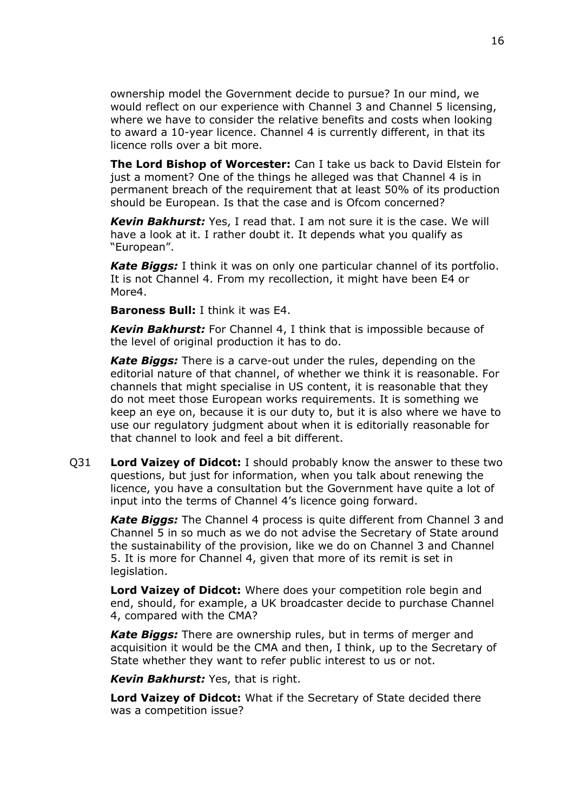ownership model the Government decide to pursue? In our mind, we would reflect on our experience with Channel 3 and Channel 5 licensing, where we have to consider the relative benefits and costs when looking to award a 10-year licence. Channel 4 is currently different, in that its licence rolls over a bit more.

**The Lord Bishop of Worcester:** Can I take us back to David Elstein for just a moment? One of the things he alleged was that Channel 4 is in permanent breach of the requirement that at least 50% of its production should be European. Is that the case and is Ofcom concerned?

*Kevin Bakhurst:* Yes, I read that. I am not sure it is the case. We will have a look at it. I rather doubt it. It depends what you qualify as "European".

*Kate Biggs:* I think it was on only one particular channel of its portfolio. It is not Channel 4. From my recollection, it might have been E4 or More4.

**Baroness Bull:** I think it was E4.

*Kevin Bakhurst:* For Channel 4, I think that is impossible because of the level of original production it has to do.

*Kate Biggs:* There is a carve-out under the rules, depending on the editorial nature of that channel, of whether we think it is reasonable. For channels that might specialise in US content, it is reasonable that they do not meet those European works requirements. It is something we keep an eye on, because it is our duty to, but it is also where we have to use our regulatory judgment about when it is editorially reasonable for that channel to look and feel a bit different.

Q31 **Lord Vaizey of Didcot:** I should probably know the answer to these two questions, but just for information, when you talk about renewing the licence, you have a consultation but the Government have quite a lot of input into the terms of Channel 4's licence going forward.

*Kate Biggs:* The Channel 4 process is quite different from Channel 3 and Channel 5 in so much as we do not advise the Secretary of State around the sustainability of the provision, like we do on Channel 3 and Channel 5. It is more for Channel 4, given that more of its remit is set in legislation.

**Lord Vaizey of Didcot:** Where does your competition role begin and end, should, for example, a UK broadcaster decide to purchase Channel 4, compared with the CMA?

*Kate Biggs:* There are ownership rules, but in terms of merger and acquisition it would be the CMA and then, I think, up to the Secretary of State whether they want to refer public interest to us or not.

*Kevin Bakhurst:* Yes, that is right.

**Lord Vaizey of Didcot:** What if the Secretary of State decided there was a competition issue?